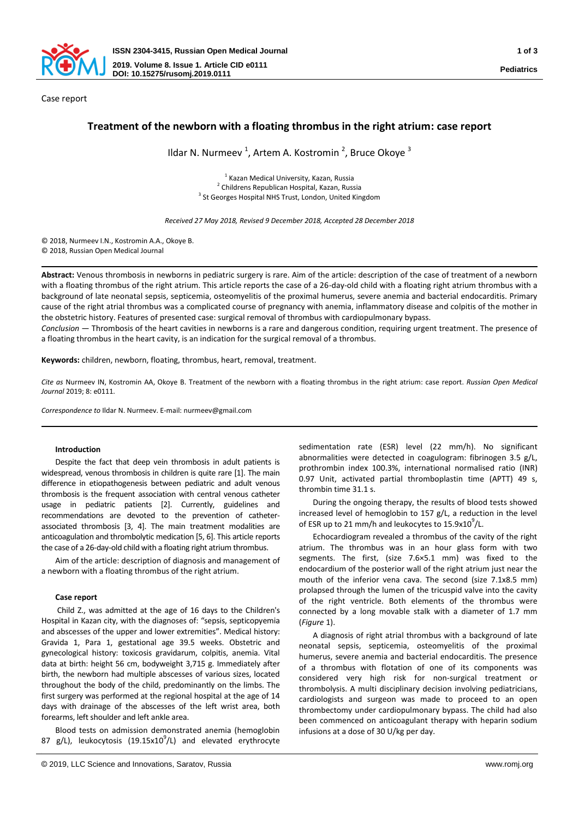

# **Treatment of the newborn with a floating thrombus in the right atrium: case report**

Ildar N. Nurmeev<sup>1</sup>, Artem A. Kostromin<sup>2</sup>, Bruce Okoye<sup>3</sup>

<sup>1</sup> Kazan Medical University, Kazan, Russia <sup>2</sup> Childrens Republican Hospital, Kazan, Russia <sup>3</sup> St Georges Hospital NHS Trust, London, United Kingdom

*Received 27 May 2018, Revised 9 December 2018, Accepted 28 December 2018*

© 2018, Nurmeev I.N., Kostromin A.A., Okoye B. © 2018, Russian Open Medical Journal

**Abstract:** Venous thrombosis in newborns in pediatric surgery is rare. Aim of the article: description of the case of treatment of a newborn with a floating thrombus of the right atrium. This article reports the case of a 26-day-old child with a floating right atrium thrombus with a background of late neonatal sepsis, septicemia, osteomyelitis of the proximal humerus, severe anemia and bacterial endocarditis. Primary cause of the right atrial thrombus was a complicated course of pregnancy with anemia, inflammatory disease and colpitis of the mother in the obstetric history. Features of presented case: surgical removal of thrombus with cardiopulmonary bypass.

*Conclusion* ― Thrombosis of the heart cavities in newborns is a rare and dangerous condition, requiring urgent treatment. The presence of a floating thrombus in the heart cavity, is an indication for the surgical removal of a thrombus.

**Keywords:** children, newborn, floating, thrombus, heart, removal, treatment.

*Cite as* Nurmeev IN, Kostromin AA, Okoye B. Treatment of the newborn with a floating thrombus in the right atrium: case report. *Russian Open Medical Journal* 2019; 8: e0111.

*Correspondence to* Ildar N. Nurmeev. E-mail: nurmeev@gmail.com

# **Introduction**

Despite the fact that deep vein thrombosis in adult patients is widespread, venous thrombosis in children is quite rare [1]. The main difference in etiopathogenesis between pediatric and adult venous thrombosis is the frequent association with central venous catheter usage in pediatric patients [2]. Currently, guidelines and recommendations are devoted to the prevention of catheterassociated thrombosis [3, 4]. The main treatment modalities are anticoagulation and thrombolytic medication [5, 6]. This article reports the case of a 26-day-old child with a floating right atrium thrombus.

Aim of the article: description of diagnosis and management of a newborn with a floating thrombus of the right atrium.

# **Case report**

Child Z., was admitted at the age of 16 days to the Children's Hospital in Kazan city, with the diagnoses of: "sepsis, septicopyemia and abscesses of the upper and lower extremities". Medical history: Gravida 1, Para 1, gestational age 39.5 weeks. Obstetric and gynecological history: toxicosis gravidarum, colpitis, anemia. Vital data at birth: height 56 cm, bodyweight 3,715 g. Immediately after birth, the newborn had multiple abscesses of various sizes, located throughout the body of the child, predominantly on the limbs. The first surgery was performed at the regional hospital at the age of 14 days with drainage of the abscesses of the left wrist area, both forearms, left shoulder and left ankle area.

Blood tests on admission demonstrated anemia (hemoglobin 87 g/L), leukocytosis (19.15x10<sup>9</sup>/L) and elevated erythrocyte sedimentation rate (ESR) level (22 mm/h). No significant abnormalities were detected in coagulogram: fibrinogen 3.5 g/L, prothrombin index 100.3%, international normalised ratio (INR) 0.97 Unit, activated partial thromboplastin time (APTT) 49 s, thrombin time 31.1 s.

During the ongoing therapy, the results of blood tests showed increased level of hemoglobin to 157 g/L, a reduction in the level of ESR up to 21 mm/h and leukocytes to  $15.9x10^9$ /L.

Echocardiogram revealed a thrombus of the cavity of the right atrium. The thrombus was in an hour glass form with two segments. The first, (size 7.6×5.1 mm) was fixed to the endocardium of the posterior wall of the right atrium just near the mouth of the inferior vena cava. The second (size 7.1x8.5 mm) prolapsed through the lumen of the tricuspid valve into the cavity of the right ventricle. Both elements of the thrombus were connected by a long movable stalk with a diameter of 1.7 mm (*Figure* 1).

A diagnosis of right atrial thrombus with a background of late neonatal sepsis, septicemia, osteomyelitis of the proximal humerus, severe anemia and bacterial endocarditis. The presence of a thrombus with flotation of one of its components was considered very high risk for non-surgical treatment or thrombolysis. A multi disciplinary decision involving pediatricians, cardiologists and surgeon was made to proceed to an open thrombectomy under cardiopulmonary bypass. The child had also been commenced on anticoagulant therapy with heparin sodium infusions at a dose of 30 U/kg per day.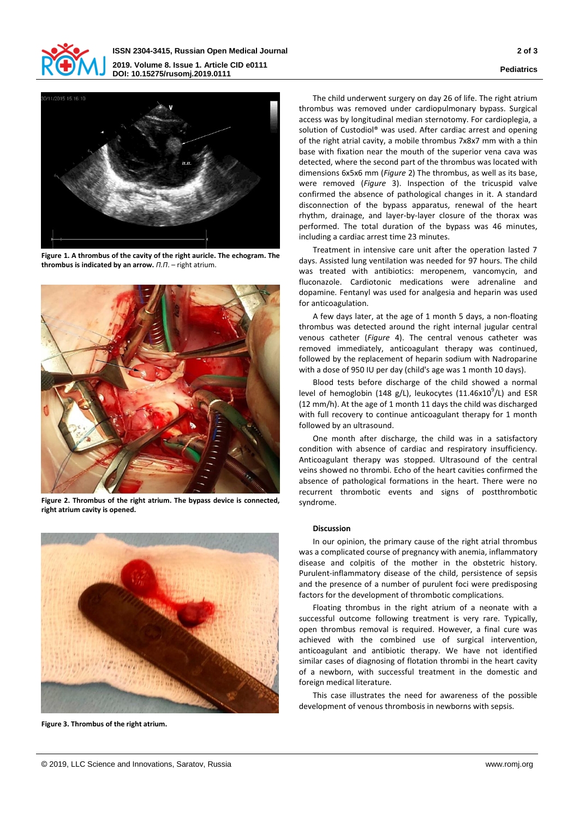



**Figure 1. A thrombus of the cavity of the right auricle. The echogram. The thrombus is indicated by an arrow.** *П.П*. – right atrium.



**Figure 2. Thrombus of the right atrium. The bypass device is connected, right atrium cavity is opened.**



**Figure 3. Thrombus of the right atrium.**

The child underwent surgery on day 26 of life. The right atrium thrombus was removed under cardiopulmonary bypass. Surgical access was by longitudinal median sternotomy. For cardioplegia, a solution of Custodiol® was used. After cardiac arrest and opening of the right atrial cavity, a mobile thrombus 7x8x7 mm with a thin base with fixation near the mouth of the superior vena cava was detected, where the second part of the thrombus was located with dimensions 6x5x6 mm (*Figure* 2) The thrombus, as well as its base, were removed (*Figure* 3). Inspection of the tricuspid valve confirmed the absence of pathological changes in it. A standard disconnection of the bypass apparatus, renewal of the heart rhythm, drainage, and layer-by-layer closure of the thorax was performed. The total duration of the bypass was 46 minutes, including a cardiac arrest time 23 minutes.

Treatment in intensive care unit after the operation lasted 7 days. Assisted lung ventilation was needed for 97 hours. The child was treated with antibiotics: meropenem, vancomycin, and fluconazole. Cardiotonic medications were adrenaline and dopamine. Fentanyl was used for analgesia and heparin was used for anticoagulation.

A few days later, at the age of 1 month 5 days, a non-floating thrombus was detected around the right internal jugular central venous catheter (*Figure* 4). The central venous catheter was removed immediately, anticoagulant therapy was continued, followed by the replacement of heparin sodium with Nadroparine with a dose of 950 IU per day (child's age was 1 month 10 days).

Blood tests before discharge of the child showed a normal level of hemoglobin (148 g/L), leukocytes (11.46x10 $^{9}$ /L) and ESR (12 mm/h). At the age of 1 month 11 days the child was discharged with full recovery to continue anticoagulant therapy for 1 month followed by an ultrasound.

One month after discharge, the child was in a satisfactory condition with absence of cardiac and respiratory insufficiency. Anticoagulant therapy was stopped. Ultrasound of the central veins showed no thrombi. Echo of the heart cavities confirmed the absence of pathological formations in the heart. There were no recurrent thrombotic events and signs of postthrombotic syndrome.

### **Discussion**

In our opinion, the primary cause of the right atrial thrombus was a complicated course of pregnancy with anemia, inflammatory disease and colpitis of the mother in the obstetric history. Purulent-inflammatory disease of the child, persistence of sepsis and the presence of a number of purulent foci were predisposing factors for the development of thrombotic complications.

Floating thrombus in the right atrium of a neonate with a successful outcome following treatment is very rare. Typically, open thrombus removal is required. However, a final cure was achieved with the combined use of surgical intervention, anticoagulant and antibiotic therapy. We have not identified similar cases of diagnosing of flotation thrombi in the heart cavity of a newborn, with successful treatment in the domestic and foreign medical literature.

This case illustrates the need for awareness of the possible development of venous thrombosis in newborns with sepsis.